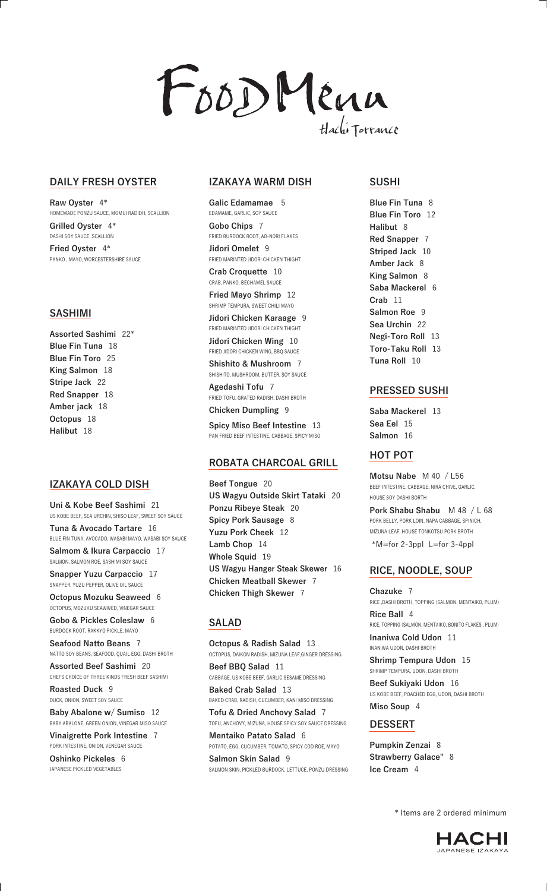

## **DAILY FRESH OYSTER**

**Raw Oyster** 4\* HOMEMADE PONZU SAUCE, MOMIJI RADIDH, SCALLION **Grilled Oyster** 4\* DASHI SOY SAUCE, SCALLION **Fried Oyster** 4\* PANKO , MAYO, WORCESTERSHIRE SAUCE

### **SASHIMI**

**Assorted Sashimi** 22\* **Blue Fin Tuna** 18 **Blue Fin Toro** 25 **King Salmon** 18 **Stripe Jack** 22 **Red Snapper** 18 **Amber jack** 18 **Octopus** 18 **Halibut** 18

## **IZAKAYA COLD DISH**

**Uni & Kobe Beef Sashimi** 21 US KOBE BEEF, SEA URCHIN, SHISO LEAF, SWEET SOY SAUCE **Tuna & Avocado Tartare** 16

BLUE FIN TUNA, AVOCADO, WASABI MAYO, WASABI SOY SAUCE **Salmom & Ikura Carpaccio** 17

SALMON, SALMON ROE, SASHIMI SOY SAUCE

**Snapper Yuzu Carpaccio** 17 SNAPPER, YUZU PEPPER, OLIVE OIL SAUCE

**Octopus Mozuku Seaweed** 6 OCTOPUS, MOZUKU SEAWWED, VINEGAR SAUCE

**Gobo & Pickles Coleslaw** 6 BURDOCK ROOT, RAKKYO PICKLE, MAYO

**Seafood Natto Beans** 7 NATTO SOY BEANS, SEAFOOD, QUAIL EGG, DASHI BROTH

**Assorted Beef Sashimi** 20 CHEFS CHOICE OF THREE KINDS FRESH BEEF SASHIMI

**Roasted Duck** 9 DUCK, ONION, SWEET SOY SAUCE

**Baby Abalone w/ Sumiso** 12 BABY ABALONE, GREEN ONION, VINEGAR MISO SAUCE

**Vinaigrette Pork Intestine** 7 PORK INTESTINE, ONION, VENEGAR SAUCE

**Oshinko Pickeles** 6 JAPANESE PICKLED VEGETABLES

#### **IZAKAYA WARM DISH**

**Galic Edamamae** 5 EDAMAME, GARLIC, SOY SAUCE **Gobo Chips** 7

FRIED BURDOCK ROOT, AO-NORI FLAKES **Jidori Omelet** 9 FRIED MARINTED JIDORI CHICKEN THIGHT

**Crab Croquette** 10 CRAB, PANKO, BECHAMEL SAUCE

**Fried Mayo Shrimp** 12 SHRIMP TEMPURA, SWEET CHILI MAYO

**Jidori Chicken Karaage** 9 FRIED MARINTED JIDORI CHICKEN THIGHT

**Jidori Chicken Wing** 10 FRIED JIDORI CHICKEN WING, BBQ SAUCE

**Shishito & Mushroom** 7 SHISHITO, MUSHROOM, BUTTER, SOY SAUCE

**Agedashi Tofu** 7 FRIED TOFU, GRATED RADISH, DASHI BROTH

**Chicken Dumpling** 9

**Spicy Miso Beef Intestine** 13 PAN FRIED BEEF INTESTINE, CABBAGE, SPICY MISO

#### **ROBATA CHARCOAL GRILL**

**Beef Tongue** 20 **US Wagyu Outside Skirt Tataki** 20 **Ponzu Ribeye Steak** 20 **Spicy Pork Sausage** 8 **Yuzu Pork Cheek** 12 **Lamb Chop** 14 **Whole Squid** 19 **US Wagyu Hanger Steak Skewer** 16 **Chicken Meatball Skewer** 7 **Chicken Thigh Skewer** 7

#### **SALAD**

**Octopus & Radish Salad** 13 OCTOPUS, DAIKON RADISH, MIZUNA LEAF,GINGER DRESSING **Beef BBQ Salad** 11 CABBAGE, US KOBE BEEF, GARLIC SESAME DRESSING **Baked Crab Salad** 13 BAKED CRAB, RADISH, CUCUMBER, KANI MISO DRESSING **Tofu & Dried Anchovy Salad** 7 TOFU, ANCHOVY, MIZUNA, HOUSE SPICY SOY SAUCE DRESSING

**Mentaiko Patato Salad** 6 POTATO, EGG, CUCUMBER, TOMATO, SPICY COD ROE, MAYO

**Salmon Skin Salad** 9 SALMON SKIN, PICKLED BURDOCK, LETTUCE, PONZU DRESSING

#### **SUSHI**

**Blue Fin Tuna** 8 **Blue Fin Toro** 12 **Halibut** 8 **Red Snapper** 7 **Striped Jack** 10 **Amber Jack** 8 **King Salmon** 8 **Saba Mackerel** 6 **Crab** 11 **Salmon Roe** 9 **Sea Urchin** 22 **Negi-Toro Roll** 13 **Toro-Taku Roll** 13 **Tuna Roll** 10

#### **PRESSED SUSHI**

**Saba Mackerel** 13 **Sea Eel** 15 **Salmon** 16

#### **HOT POT**

**Motsu Nabe** M 40 / L56 BEEF INTESTINE, CABBAGE, NIRA CHIVE, GARLIC, HOUSE SOY DASHI BORTH

**Pork Shabu Shabu** M 48 / L 68 PORK BELLY, PORK LOIN, NAPA CABBAGE, SPINICH, MIZUNA LEAF, HOUSE TONKOTSU PORK BROTH \*M=for 2-3ppl L=for 3-4ppl

#### **RICE, NOODLE, SOUP**

**Chazuke** 7 RICE ,DASHI BROTH, TOPPING (SALMON, MENTAIKO, PLUM) **Rice Ball** 4 RICE, TOPPING (SALMON, MENTAIKO, BONITO FLAKES, PLUM) **Inaniwa Cold Udon** 11

INANIWA UDON, DASHI BROTH

**Shrimp Tempura Udon** 15 SHRIMP TEMPURA, UDON, DASHI BROTH

**Beef Sukiyaki Udon** 16 US KOBE BEEF, POACHED EGG, UDON, DASHI BROTH **Miso Soup** 4

#### **DESSERT**

**Pumpkin Zenzai** 8 **Strawberry Galace"** 8 **Ice Cream** 4

\* Items are 2 ordered minimum